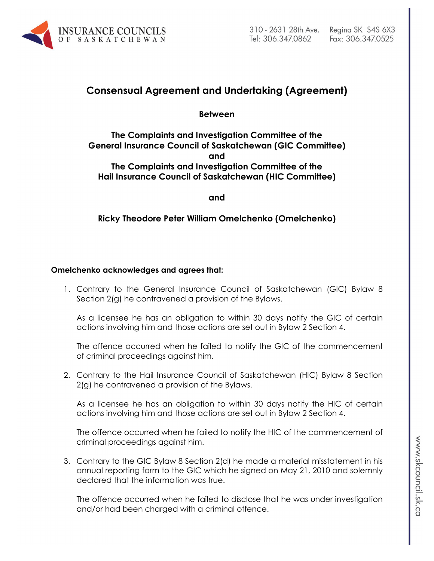

## **Consensual Agreement and Undertaking (Agreement)**

**Between**

**The Complaints and Investigation Committee of the General Insurance Council of Saskatchewan (GIC Committee) and The Complaints and Investigation Committee of the Hail Insurance Council of Saskatchewan (HIC Committee)**

**and**

**Ricky Theodore Peter William Omelchenko (Omelchenko)**

## **Omelchenko acknowledges and agrees that:**

1. Contrary to the General Insurance Council of Saskatchewan (GIC) Bylaw 8 Section 2(g) he contravened a provision of the Bylaws.

As a licensee he has an obligation to within 30 days notify the GIC of certain actions involving him and those actions are set out in Bylaw 2 Section 4.

The offence occurred when he failed to notify the GIC of the commencement of criminal proceedings against him.

2. Contrary to the Hail Insurance Council of Saskatchewan (HIC) Bylaw 8 Section 2(g) he contravened a provision of the Bylaws.

As a licensee he has an obligation to within 30 days notify the HIC of certain actions involving him and those actions are set out in Bylaw 2 Section 4.

The offence occurred when he failed to notify the HIC of the commencement of criminal proceedings against him.

3. Contrary to the GIC Bylaw 8 Section 2(d) he made a material misstatement in his annual reporting form to the GIC which he signed on May 21, 2010 and solemnly declared that the information was true.

The offence occurred when he failed to disclose that he was under investigation and/or had been charged with a criminal offence.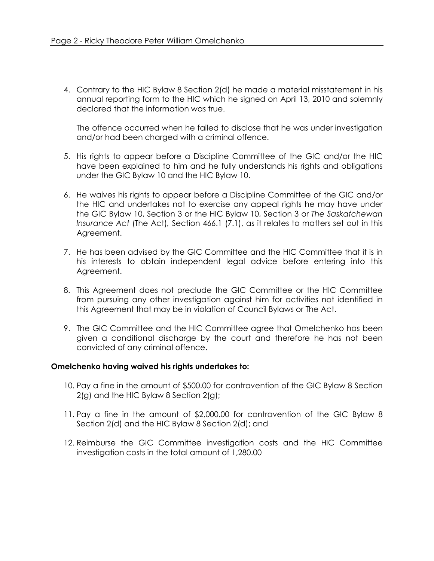4. Contrary to the HIC Bylaw 8 Section 2(d) he made a material misstatement in his annual reporting form to the HIC which he signed on April 13, 2010 and solemnly declared that the information was true.

The offence occurred when he failed to disclose that he was under investigation and/or had been charged with a criminal offence.

- 5. His rights to appear before a Discipline Committee of the GIC and/or the HIC have been explained to him and he fully understands his rights and obligations under the GIC Bylaw 10 and the HIC Bylaw 10.
- 6. He waives his rights to appear before a Discipline Committee of the GIC and/or the HIC and undertakes not to exercise any appeal rights he may have under the GIC Bylaw 10, Section 3 or the HIC Bylaw 10, Section 3 or *The Saskatchewan Insurance Act* (The Act)*,* Section 466.1 (7.1), as it relates to matters set out in this Agreement.
- 7. He has been advised by the GIC Committee and the HIC Committee that it is in his interests to obtain independent legal advice before entering into this Agreement.
- 8. This Agreement does not preclude the GIC Committee or the HIC Committee from pursuing any other investigation against him for activities not identified in this Agreement that may be in violation of Council Bylaws or The Act.
- 9. The GIC Committee and the HIC Committee agree that Omelchenko has been given a conditional discharge by the court and therefore he has not been convicted of any criminal offence.

## **Omelchenko having waived his rights undertakes to:**

- 10. Pay a fine in the amount of \$500.00 for contravention of the GIC Bylaw 8 Section 2(g) and the HIC Bylaw 8 Section 2(g);
- 11. Pay a fine in the amount of \$2,000.00 for contravention of the GIC Bylaw 8 Section 2(d) and the HIC Bylaw 8 Section 2(d); and
- 12. Reimburse the GIC Committee investigation costs and the HIC Committee investigation costs in the total amount of 1,280.00